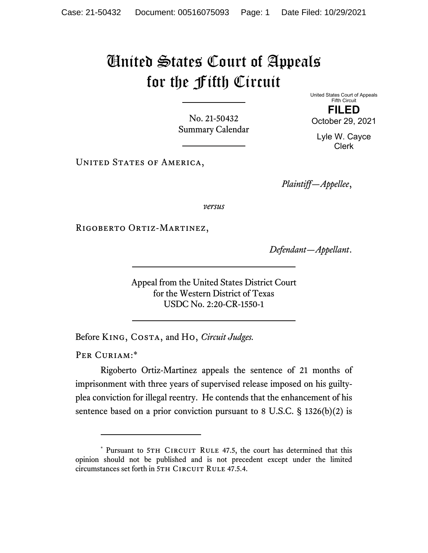## United States Court of Appeals for the Fifth Circuit

No. 21-50432 Summary Calendar United States Court of Appeals Fifth Circuit **FILED** 

October 29, 2021

Lyle W. Cayce Clerk

UNITED STATES OF AMERICA,

*Plaintiff—Appellee*,

*versus*

RIGOBERTO ORTIZ-MARTINEZ,

*Defendant—Appellant*.

Appeal from the United States District Court for the Western District of Texas USDC No. 2:20-CR-1550-1

Before KING, COSTA, and Ho, *Circuit Judges*.

PER CURIAM:\*

Rigoberto Ortiz-Martinez appeals the sentence of 21 months of imprisonment with three years of supervised release imposed on his guiltyplea conviction for illegal reentry. He contends that the enhancement of his sentence based on a prior conviction pursuant to 8 U.S.C. § 1326(b)(2) is

<sup>\*</sup> Pursuant to 5TH CIRCUIT RULE 47.5, the court has determined that this opinion should not be published and is not precedent except under the limited circumstances set forth in 5TH CIRCUIT RULE 47.5.4.